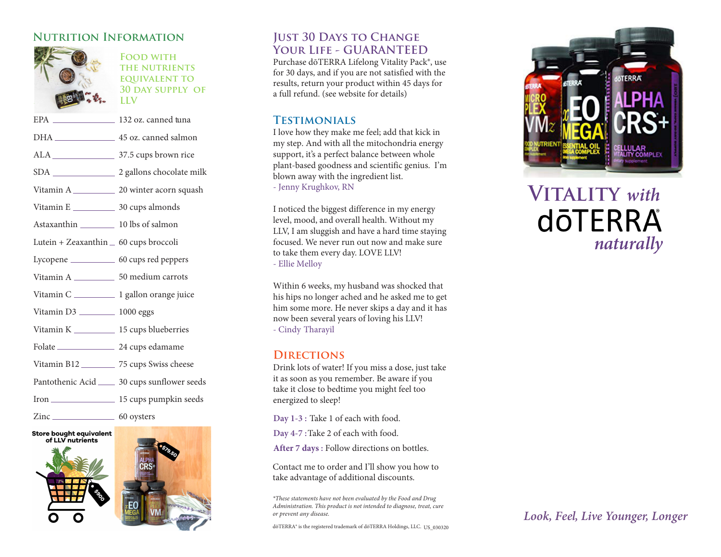## **Nutrition Information**



**Food with the nutrients equivalent to 30 day supply of LLV**

| EPA _______________________ 132 oz. canned tuna  |                                                |
|--------------------------------------------------|------------------------------------------------|
|                                                  | DHA __________________ 45 oz. canned salmon    |
|                                                  |                                                |
|                                                  |                                                |
|                                                  |                                                |
|                                                  |                                                |
| Astaxanthin 10 lbs of salmon                     |                                                |
| Lutein + Zeaxanthin _ 60 cups broccoli           |                                                |
| Lycopene ___________________ 60 cups red peppers |                                                |
|                                                  |                                                |
|                                                  |                                                |
| Vitamin D3 __________ 1000 eggs                  |                                                |
| Vitamin K _____________ 15 cups blueberries      |                                                |
| Folate 24 cups edamame                           |                                                |
| Vitamin B12 ___________ 75 cups Swiss cheese     |                                                |
|                                                  | Pantothenic Acid _____ 30 cups sunflower seeds |
|                                                  |                                                |
| Zinc 60 oysters                                  |                                                |







## **JUST 30 DAYS TO CHANGE Your Life - GUARANTEED**

Purchase d ōTERRA Lifelong Vitality Pack®, use for 30 days, and if you are not satisfied with the results, return your product within 45 days for a full refund. (see website for details )

#### **Testimonials**

I love how they make me feel ; add that kick in my step . And with all the mitochondria energy support, it's a perfect balance between whole plant-based goodness and scientific genius. I'm blown away with the ingredient list. - Jenny Krughkov, RN

I noticed the biggest difference in my energy level, mood, and overall health. Without my LLV, I am sluggish and have a hard time staying focused. We never run out now and make sure to take them every day. LOVE LLV ! - Ellie Melloy

Within 6 weeks, my husband was shocked that his hips no longer ached and he asked me to get him some more. He never skips a day and it has now been several years of loving his LLV ! - Cindy Tharayil

#### **Directions**

Drink lots of water! If you miss a dose, just take it as soon as you remember. Be aware if you take it close to bedtime you might feel too energized to sleep!

**Day 1-3 :** Take 1 of each with food.

**Day 4-7 :** Take 2 of each with food.

**After 7 days :** Follow directions on bottles.

Contact me to order and I'll show you how to take advantage of additional discounts.

*\*These statements have not been evaluated by the Food and Dr ug Administration. This product is not intended to diagnose, treat, cure or prevent any disease.*

dōTERRA® is the registered trademark of dōTERRA Holdings, LLC. US\_030320



# **Vitality** *with* **dōTERRA** *naturally*

## *Look, Fee l, Live Yo u nger, Longer*